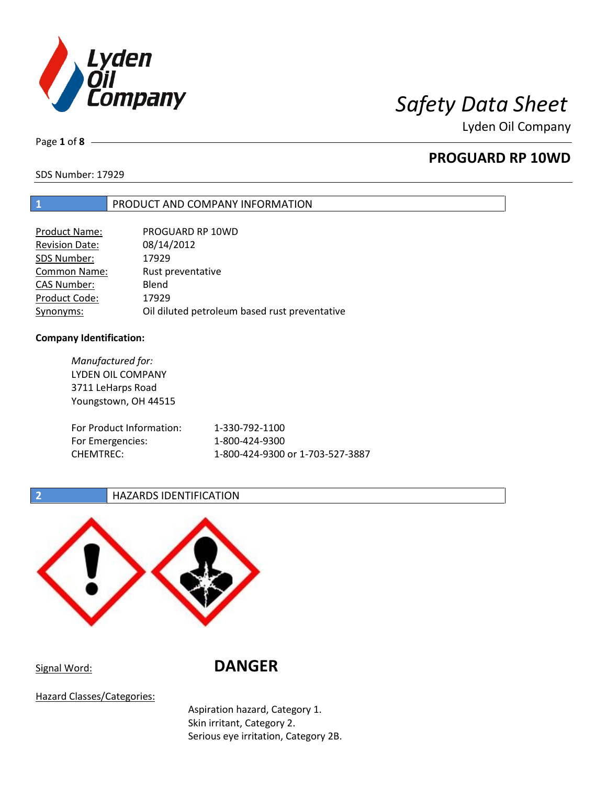

Page **1** of **8**

# **PROGUARD RP 10WD**

SDS Number: 17929

# **1** PRODUCT AND COMPANY INFORMATION

| <b>Product Name:</b>  | PROGUARD RP 10WD                              |
|-----------------------|-----------------------------------------------|
| <b>Revision Date:</b> | 08/14/2012                                    |
| SDS Number:           | 17929                                         |
| <b>Common Name:</b>   | Rust preventative                             |
| <b>CAS Number:</b>    | Blend                                         |
| Product Code:         | 17929                                         |
| Synonyms:             | Oil diluted petroleum based rust preventative |

### **Company Identification:**

*Manufactured for:* LYDEN OIL COMPANY 3711 LeHarps Road Youngstown, OH 44515 For Product Information: 1-330-792-1100 For Emergencies: 1-800-424-9300 CHEMTREC: 1-800-424-9300 or 1-703-527-3887

## **2 HAZARDS IDENTIFICATION**



Signal Word: **DANGER**

Hazard Classes/Categories:

Aspiration hazard, Category 1. Skin irritant, Category 2. Serious eye irritation, Category 2B.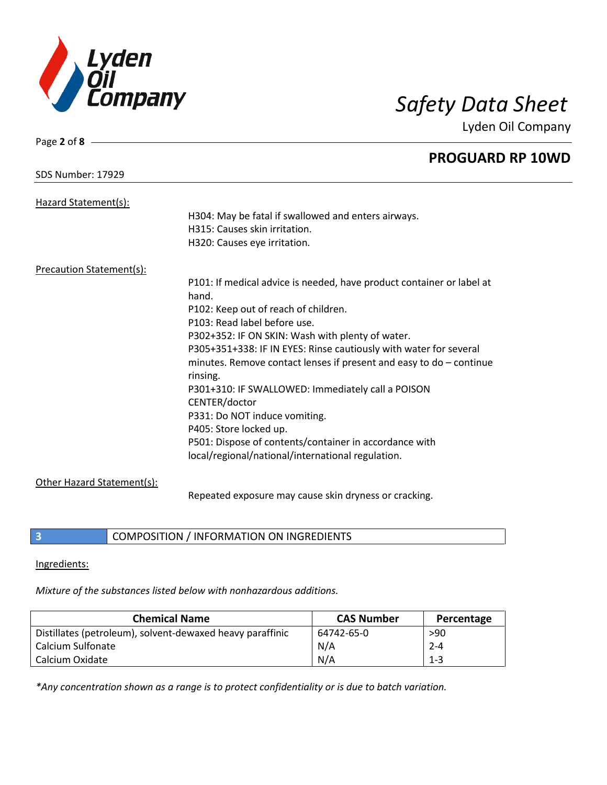

| Page 2 of $8 -$                 |                                                                       |
|---------------------------------|-----------------------------------------------------------------------|
|                                 | <b>PROGUARD RP 10WD</b>                                               |
| <b>SDS Number: 17929</b>        |                                                                       |
| Hazard Statement(s):            |                                                                       |
|                                 | H304: May be fatal if swallowed and enters airways.                   |
|                                 | H315: Causes skin irritation.                                         |
|                                 | H320: Causes eye irritation.                                          |
| <b>Precaution Statement(s):</b> |                                                                       |
|                                 | P101: If medical advice is needed, have product container or label at |
|                                 | hand.                                                                 |
|                                 | P102: Keep out of reach of children.                                  |
|                                 | P103: Read label before use.                                          |
|                                 | P302+352: IF ON SKIN: Wash with plenty of water.                      |
|                                 | P305+351+338: IF IN EYES: Rinse cautiously with water for several     |
|                                 | minutes. Remove contact lenses if present and easy to $do$ – continue |
|                                 | rinsing.                                                              |
|                                 | P301+310: IF SWALLOWED: Immediately call a POISON                     |
|                                 | CENTER/doctor                                                         |
|                                 | P331: Do NOT induce vomiting.                                         |
|                                 | P405: Store locked up.                                                |
|                                 | P501: Dispose of contents/container in accordance with                |
|                                 | local/regional/national/international regulation.                     |
| Other Hazard Statement(s):      |                                                                       |
|                                 | Repeated exposure may cause skin dryness or cracking.                 |

**3** COMPOSITION / INFORMATION ON INGREDIENTS

Ingredients:

*Mixture of the substances listed below with nonhazardous additions.*

| <b>Chemical Name</b>                                      | <b>CAS Number</b> | Percentage |
|-----------------------------------------------------------|-------------------|------------|
| Distillates (petroleum), solvent-dewaxed heavy paraffinic | 64742-65-0        | >90        |
| Calcium Sulfonate                                         | N/A               | $2 - 4$    |
| Calcium Oxidate                                           | N/A               | $1 - 3$    |

*\*Any concentration shown as a range is to protect confidentiality or is due to batch variation.*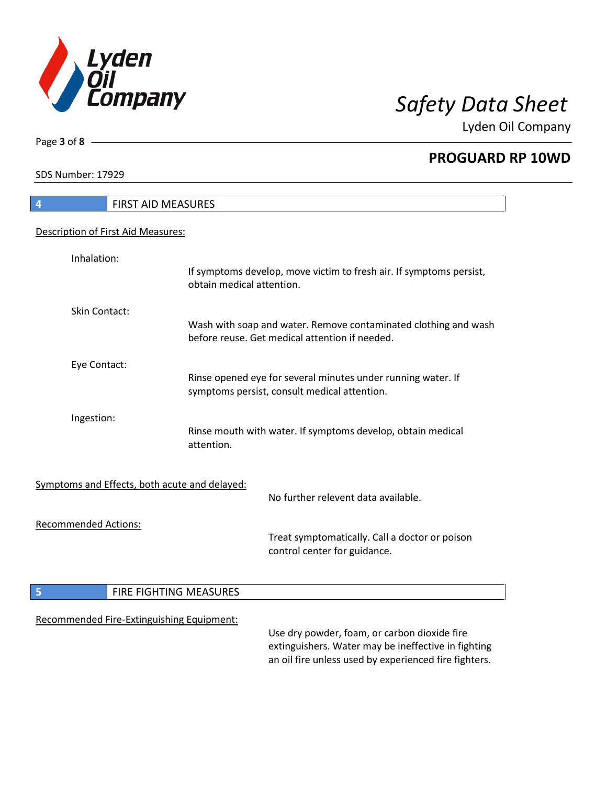

**PROGUARD RP 10WD**

SDS Number: 17929

Page **3** of **8**

| 4                           | FIRST AID MEASURES                            |                                                                                                                                                              |
|-----------------------------|-----------------------------------------------|--------------------------------------------------------------------------------------------------------------------------------------------------------------|
|                             | Description of First Aid Measures:            |                                                                                                                                                              |
| Inhalation:                 | obtain medical attention.                     | If symptoms develop, move victim to fresh air. If symptoms persist,                                                                                          |
| Skin Contact:               |                                               | Wash with soap and water. Remove contaminated clothing and wash<br>before reuse. Get medical attention if needed.                                            |
| Eye Contact:                |                                               | Rinse opened eye for several minutes under running water. If<br>symptoms persist, consult medical attention.                                                 |
| Ingestion:                  | attention.                                    | Rinse mouth with water. If symptoms develop, obtain medical                                                                                                  |
|                             | Symptoms and Effects, both acute and delayed: | No further relevent data available.                                                                                                                          |
| <b>Recommended Actions:</b> |                                               | Treat symptomatically. Call a doctor or poison<br>control center for guidance.                                                                               |
| 5                           | FIRE FIGHTING MEASURES                        |                                                                                                                                                              |
|                             | Recommended Fire-Extinguishing Equipment:     | Use dry powder, foam, or carbon dioxide fire<br>extinguishers. Water may be ineffective in fighting<br>an oil fire unless used by experienced fire fighters. |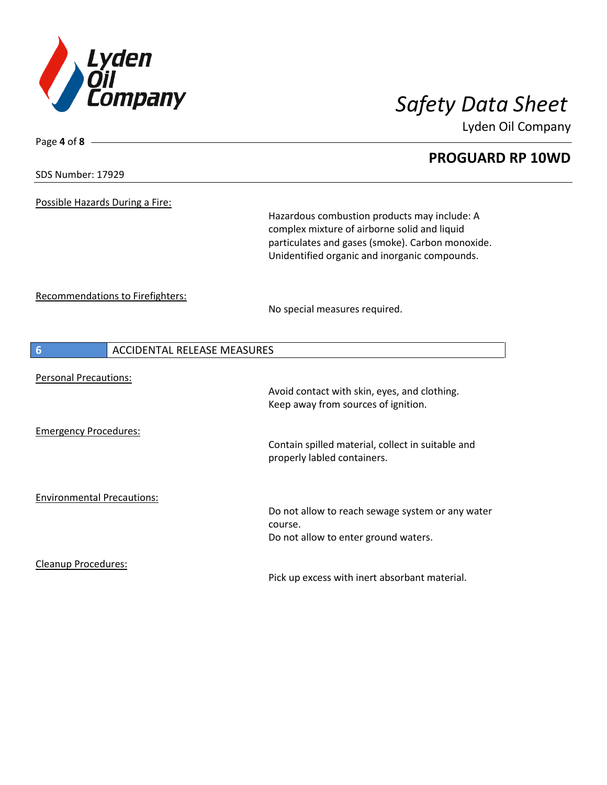

# **PROGUARD RP 10WD**

SDS Number: 17929

Page **4** of **8**

Possible Hazards During a Fire:

Hazardous combustion products may include: A complex mixture of airborne solid and liquid particulates and gases (smoke). Carbon monoxide. Unidentified organic and inorganic compounds.

Recommendations to Firefighters:

No special measures required.

| 6                                 | ACCIDENTAL RELEASE MEASURES                                                                         |
|-----------------------------------|-----------------------------------------------------------------------------------------------------|
| <b>Personal Precautions:</b>      | Avoid contact with skin, eyes, and clothing.<br>Keep away from sources of ignition.                 |
| <b>Emergency Procedures:</b>      | Contain spilled material, collect in suitable and<br>properly labled containers.                    |
| <b>Environmental Precautions:</b> | Do not allow to reach sewage system or any water<br>course.<br>Do not allow to enter ground waters. |
| Cleanup Procedures:               | Pick up excess with inert absorbant material.                                                       |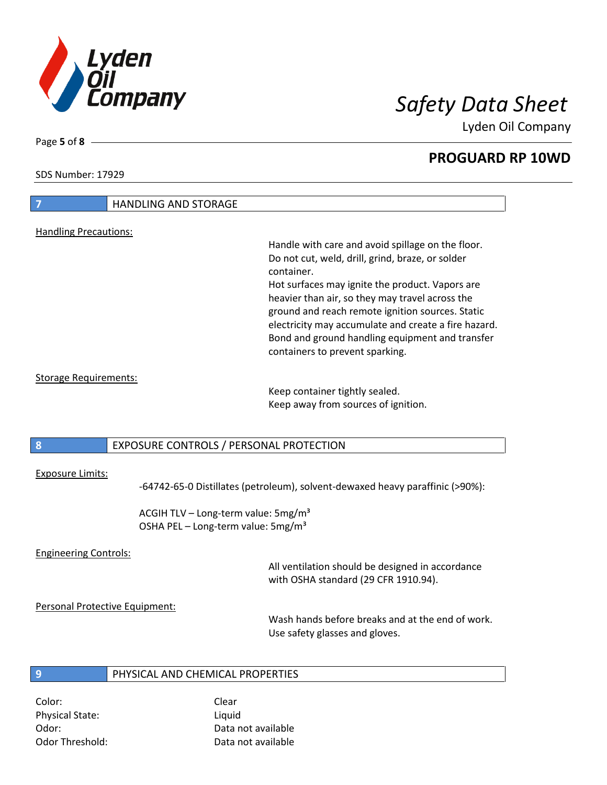

**PROGUARD RP 10WD**

SDS Number: 17929

# **7** HANDLING AND STORAGE Handling Precautions: Handle with care and avoid spillage on the floor. Do not cut, weld, drill, grind, braze, or solder container. Hot surfaces may ignite the product. Vapors are heavier than air, so they may travel across the ground and reach remote ignition sources. Static electricity may accumulate and create a fire hazard. Bond and ground handling equipment and transfer containers to prevent sparking. Storage Requirements: Keep container tightly sealed. Keep away from sources of ignition.

## **8** EXPOSURE CONTROLS / PERSONAL PROTECTION

### Exposure Limits:

-64742-65-0 Distillates (petroleum), solvent-dewaxed heavy paraffinic (>90%):

ACGIH TLV – Long-term value:  $5mg/m<sup>3</sup>$ OSHA PEL – Long-term value: 5mg/m<sup>3</sup>

### Engineering Controls:

All ventilation should be designed in accordance with OSHA standard (29 CFR 1910.94).

### Personal Protective Equipment:

Wash hands before breaks and at the end of work. Use safety glasses and gloves.

## **9** PHYSICAL AND CHEMICAL PROPERTIES

Color: Color: Clear Physical State: Liquid

Odor: Data not available Odor Threshold: Data not available

Page **5** of **8**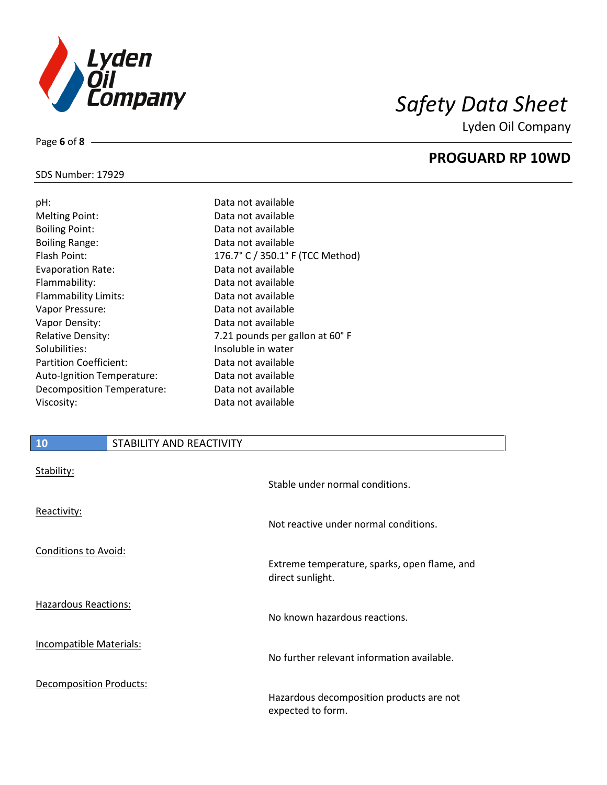

**PROGUARD RP 10WD**

## SDS Number: 17929

Page **6** of **8**

| pH:                           | Data not available               |
|-------------------------------|----------------------------------|
| <b>Melting Point:</b>         | Data not available               |
| <b>Boiling Point:</b>         | Data not available               |
| <b>Boiling Range:</b>         | Data not available               |
| Flash Point:                  | 176.7° C / 350.1° F (TCC Method) |
| <b>Evaporation Rate:</b>      | Data not available               |
| Flammability:                 | Data not available               |
| Flammability Limits:          | Data not available               |
| Vapor Pressure:               | Data not available               |
| Vapor Density:                | Data not available               |
| <b>Relative Density:</b>      | 7.21 pounds per gallon at 60°F   |
| Solubilities:                 | Insoluble in water               |
| <b>Partition Coefficient:</b> | Data not available               |
| Auto-Ignition Temperature:    | Data not available               |
| Decomposition Temperature:    | Data not available               |
| Viscosity:                    | Data not available               |
|                               |                                  |

# **10** STABILITY AND REACTIVITY

| Stability:                     | Stable under normal conditions.                                  |
|--------------------------------|------------------------------------------------------------------|
| Reactivity:                    | Not reactive under normal conditions.                            |
| <b>Conditions to Avoid:</b>    |                                                                  |
|                                | Extreme temperature, sparks, open flame, and<br>direct sunlight. |
| <b>Hazardous Reactions:</b>    | No known hazardous reactions.                                    |
| <b>Incompatible Materials:</b> | No further relevant information available.                       |
| <b>Decomposition Products:</b> | Hazardous decomposition products are not<br>expected to form.    |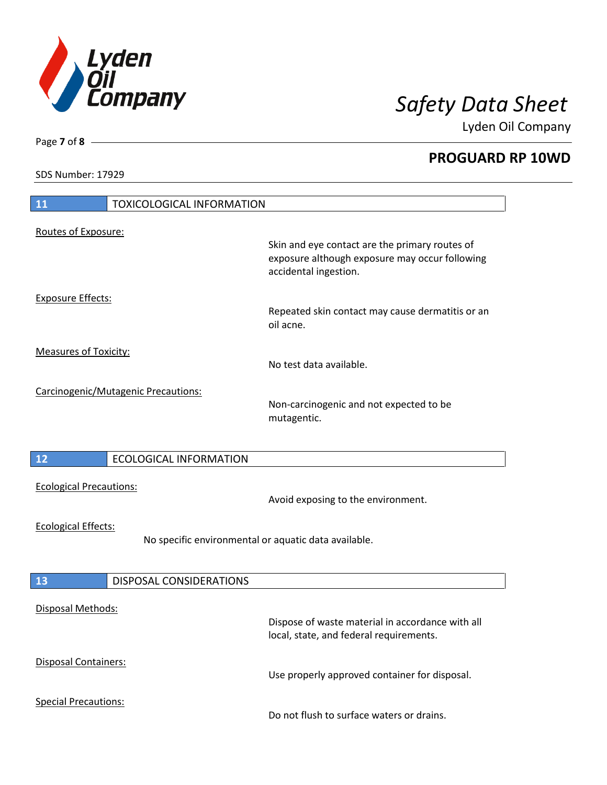

**PROGUARD RP 10WD**

SDS Number: 17929

Page **7** of **8**

| 11<br><b>TOXICOLOGICAL INFORMATION</b>                                             |                                                                                                                           |
|------------------------------------------------------------------------------------|---------------------------------------------------------------------------------------------------------------------------|
| Routes of Exposure:                                                                |                                                                                                                           |
|                                                                                    | Skin and eye contact are the primary routes of<br>exposure although exposure may occur following<br>accidental ingestion. |
| <b>Exposure Effects:</b>                                                           | Repeated skin contact may cause dermatitis or an<br>oil acne.                                                             |
| <b>Measures of Toxicity:</b>                                                       | No test data available.                                                                                                   |
| Carcinogenic/Mutagenic Precautions:                                                | Non-carcinogenic and not expected to be<br>mutagentic.                                                                    |
| 12<br><b>ECOLOGICAL INFORMATION</b>                                                |                                                                                                                           |
| <b>Ecological Precautions:</b>                                                     | Avoid exposing to the environment.                                                                                        |
| <b>Ecological Effects:</b><br>No specific environmental or aquatic data available. |                                                                                                                           |
| 13<br>DISPOSAL CONSIDERATIONS                                                      |                                                                                                                           |
| Disposal Methods:                                                                  | Dispose of waste material in accordance with all<br>local, state, and federal requirements.                               |
| Disposal Containers:                                                               | Use properly approved container for disposal.                                                                             |
| <b>Special Precautions:</b>                                                        | Do not flush to surface waters or drains.                                                                                 |